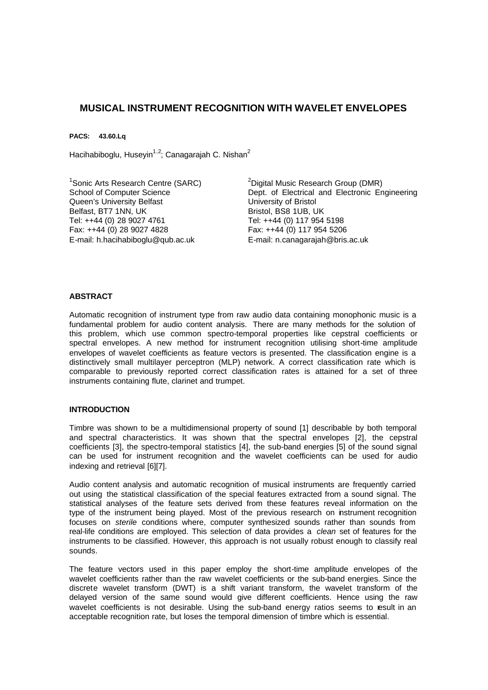# **MUSICAL INSTRUMENT RECOGNITION WITH WAVELET ENVELOPES**

**PACS: 43.60.Lq**

Hacihabiboglu, Huseyin<sup>1,2</sup>; Canagarajah C. Nishan<sup>2</sup>

<sup>1</sup>Sonic Arts Research Centre (SARC) School of Computer Science Queen's University Belfast Belfast, BT7 1NN, UK Tel: ++44 (0) 28 9027 4761 Fax: ++44 (0) 28 9027 4828 E-mail: h.hacihabiboglu@qub.ac.uk

<sup>2</sup>Digital Music Research Group (DMR) Dept. of Electrical and Electronic Engineering University of Bristol Bristol, BS8 1UB, UK Tel: ++44 (0) 117 954 5198 Fax: ++44 (0) 117 954 5206 E-mail: n.canagarajah@bris.ac.uk

### **ABSTRACT**

Automatic recognition of instrument type from raw audio data containing monophonic music is a fundamental problem for audio content analysis. There are many methods for the solution of this problem, which use common spectro-temporal properties like cepstral coefficients or spectral envelopes. A new method for instrument recognition utilising short-time amplitude envelopes of wavelet coefficients as feature vectors is presented. The classification engine is a distinctively small multilayer perceptron (MLP) network. A correct classification rate which is comparable to previously reported correct classification rates is attained for a set of three instruments containing flute, clarinet and trumpet.

### **INTRODUCTION**

Timbre was shown to be a multidimensional property of sound [1] describable by both temporal and spectral characteristics. It was shown that the spectral envelopes [2], the cepstral coefficients [3], the spectro-temporal statistics [4], the sub-band energies [5] of the sound signal can be used for instrument recognition and the wavelet coefficients can be used for audio indexing and retrieval [6][7].

Audio content analysis and automatic recognition of musical instruments are frequently carried out using the statistical classification of the special features extracted from a sound signal. The statistical analyses of the feature sets derived from these features reveal information on the type of the instrument being played. Most of the previous research on instrument recognition focuses on *sterile* conditions where, computer synthesized sounds rather than sounds from real-life conditions are employed. This selection of data provides a *clean* set of features for the instruments to be classified. However, this approach is not usually robust enough to classify real sounds.

The feature vectors used in this paper employ the short-time amplitude envelopes of the wavelet coefficients rather than the raw wavelet coefficients or the sub-band energies. Since the discrete wavelet transform (DWT) is a shift variant transform, the wavelet transform of the delayed version of the same sound would give different coefficients. Hence using the raw wavelet coefficients is not desirable. Using the sub-band energy ratios seems to result in an acceptable recognition rate, but loses the temporal dimension of timbre which is essential.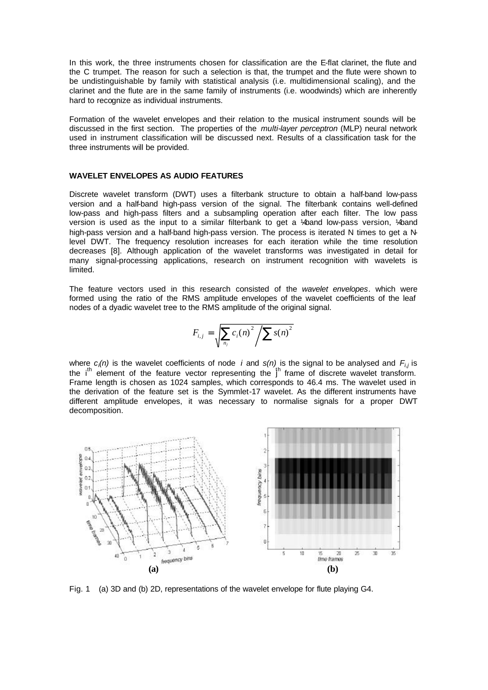In this work, the three instruments chosen for classification are the E-flat clarinet, the flute and the C trumpet. The reason for such a selection is that, the trumpet and the flute were shown to be undistinguishable by family with statistical analysis (i.e. multidimensional scaling), and the clarinet and the flute are in the same family of instruments (i.e. woodwinds) which are inherently hard to recognize as individual instruments.

Formation of the wavelet envelopes and their relation to the musical instrument sounds will be discussed in the first section. The properties of the *multi-layer perceptron* (MLP) neural network used in instrument classification will be discussed next. Results of a classification task for the three instruments will be provided.

#### **WAVELET ENVELOPES AS AUDIO FEATURES**

Discrete wavelet transform (DWT) uses a filterbank structure to obtain a half-band low-pass version and a half-band high-pass version of the signal. The filterbank contains well-defined low-pass and high-pass filters and a subsampling operation after each filter. The low pass version is used as the input to a similar filterbank to get a ¼-band low-pass version, ¼-band high-pass version and a half-band high-pass version. The process is iterated N times to get a Nlevel DWT. The frequency resolution increases for each iteration while the time resolution decreases [8]. Although application of the wavelet transforms was investigated in detail for many signal-processing applications, research on instrument recognition with wavelets is limited.

The feature vectors used in this research consisted of the *wavelet envelopes*. which were formed using the ratio of the RMS amplitude envelopes of the wavelet coefficients of the leaf nodes of a dyadic wavelet tree to the RMS amplitude of the original signal.

$$
F_{i,j} = \sqrt{\sum_{n_j} c_i(n)^2 / \sum s(n)^2}
$$

where *ci(n)* is the wavelet coefficients of node *i* and *s(n)* is the signal to be analysed and *Fi,j* is the i<sup>th</sup> element of the feature vector representing the  $1<sup>h</sup>$  frame of discrete wavelet transform. Frame length is chosen as 1024 samples, which corresponds to 46.4 ms. The wavelet used in the derivation of the feature set is the Symmlet-17 wavelet. As the different instruments have different amplitude envelopes, it was necessary to normalise signals for a proper DWT decomposition.



Fig. 1 (a) 3D and (b) 2D, representations of the wavelet envelope for flute playing G4.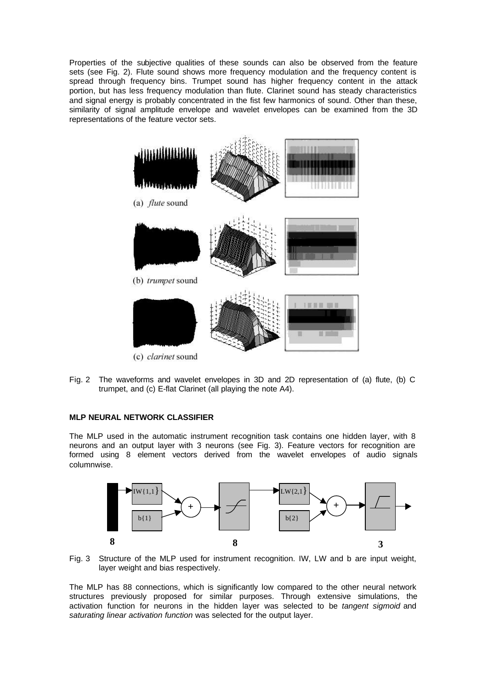Properties of the subjective qualities of these sounds can also be observed from the feature sets (see Fig. 2). Flute sound shows more frequency modulation and the frequency content is spread through frequency bins. Trumpet sound has higher frequency content in the attack portion, but has less frequency modulation than flute. Clarinet sound has steady characteristics and signal energy is probably concentrated in the fist few harmonics of sound. Other than these, similarity of signal amplitude envelope and wavelet envelopes can be examined from the 3D representations of the feature vector sets.



Fig. 2 The waveforms and wavelet envelopes in 3D and 2D representation of (a) flute, (b) C trumpet, and (c) E-flat Clarinet (all playing the note A4).

## **MLP NEURAL NETWORK CLASSIFIER**

The MLP used in the automatic instrument recognition task contains one hidden layer, with 8 neurons and an output layer with 3 neurons (see Fig. 3). Feature vectors for recognition are formed using 8 element vectors derived from the wavelet envelopes of audio signals columnwise.



Fig. 3 Structure of the MLP used for instrument recognition. IW, LW and b are input weight, layer weight and bias respectively.

The MLP has 88 connections, which is significantly low compared to the other neural network structures previously proposed for similar purposes. Through extensive simulations, the activation function for neurons in the hidden layer was selected to be *tangent sigmoid* and *saturating linear activation function* was selected for the output layer.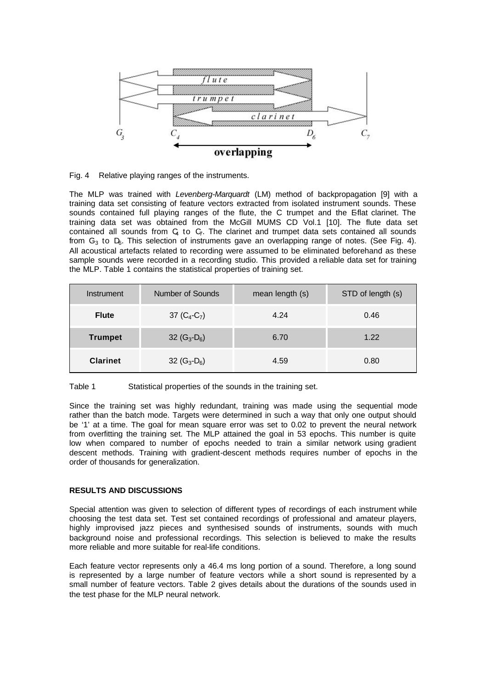

Fig. 4 Relative playing ranges of the instruments.

The MLP was trained with *Levenberg-Marquardt* (LM) method of backpropagation [9] with a training data set consisting of feature vectors extracted from isolated instrument sounds. These sounds contained full playing ranges of the flute, the C trumpet and the E-flat clarinet. The training data set was obtained from the McGill MUMS CD Vol.1 [10]. The flute data set contained all sounds from  $C_4$  to  $C_7$ . The clarinet and trumpet data sets contained all sounds from  $G_3$  to  $D_6$ . This selection of instruments gave an overlapping range of notes. (See Fig. 4). All acoustical artefacts related to recording were assumed to be eliminated beforehand as these sample sounds were recorded in a recording studio. This provided a reliable data set for training the MLP. Table 1 contains the statistical properties of training set.

| Instrument      | Number of Sounds | mean length (s) | STD of length (s) |
|-----------------|------------------|-----------------|-------------------|
| <b>Flute</b>    | 37 $(C_4-C_7)$   | 4.24            | 0.46              |
| <b>Trumpet</b>  | 32 $(G_3-D_6)$   | 6.70            | 1.22              |
| <b>Clarinet</b> | 32 $(G_3-D_6)$   | 4.59            | 0.80              |

Table 1 Statistical properties of the sounds in the training set.

Since the training set was highly redundant, training was made using the sequential mode rather than the batch mode. Targets were determined in such a way that only one output should be '1' at a time. The goal for mean square error was set to 0.02 to prevent the neural network from overfitting the training set. The MLP attained the goal in 53 epochs. This number is quite low when compared to number of epochs needed to train a similar network using gradient descent methods. Training with gradient-descent methods requires number of epochs in the order of thousands for generalization.

### **RESULTS AND DISCUSSIONS**

Special attention was given to selection of different types of recordings of each instrument while choosing the test data set. Test set contained recordings of professional and amateur players, highly improvised jazz pieces and synthesised sounds of instruments, sounds with much background noise and professional recordings. This selection is believed to make the results more reliable and more suitable for real-life conditions.

Each feature vector represents only a 46.4 ms long portion of a sound. Therefore, a long sound is represented by a large number of feature vectors while a short sound is represented by a small number of feature vectors. Table 2 gives details about the durations of the sounds used in the test phase for the MLP neural network.